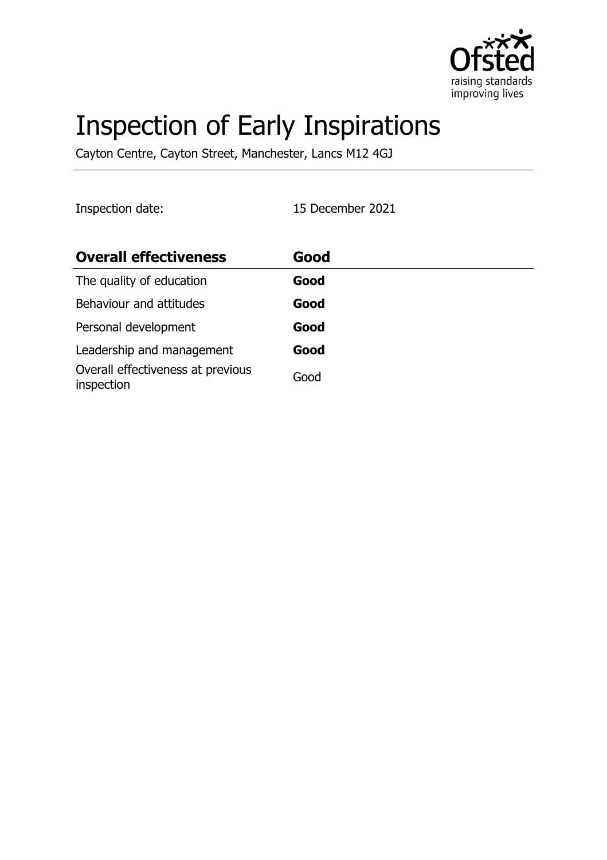

# Inspection of Early Inspirations

Cayton Centre, Cayton Street, Manchester, Lancs M12 4GJ

Inspection date: 15 December 2021

| <b>Overall effectiveness</b>                    | Good |
|-------------------------------------------------|------|
| The quality of education                        | Good |
| Behaviour and attitudes                         | Good |
| Personal development                            | Good |
| Leadership and management                       | Good |
| Overall effectiveness at previous<br>inspection | Good |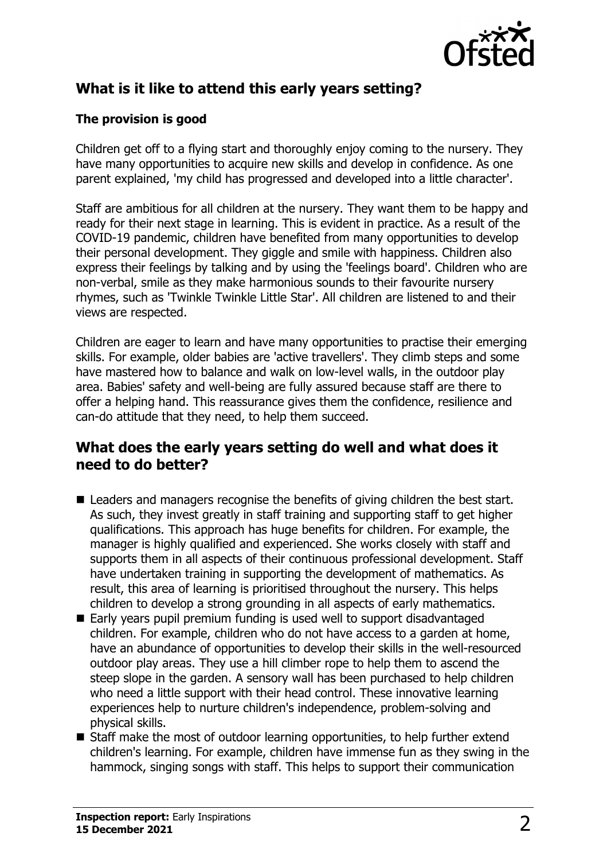

# **What is it like to attend this early years setting?**

#### **The provision is good**

Children get off to a flying start and thoroughly enjoy coming to the nursery. They have many opportunities to acquire new skills and develop in confidence. As one parent explained, 'my child has progressed and developed into a little character'.

Staff are ambitious for all children at the nursery. They want them to be happy and ready for their next stage in learning. This is evident in practice. As a result of the COVID-19 pandemic, children have benefited from many opportunities to develop their personal development. They giggle and smile with happiness. Children also express their feelings by talking and by using the 'feelings board'. Children who are non-verbal, smile as they make harmonious sounds to their favourite nursery rhymes, such as 'Twinkle Twinkle Little Star'. All children are listened to and their views are respected.

Children are eager to learn and have many opportunities to practise their emerging skills. For example, older babies are 'active travellers'. They climb steps and some have mastered how to balance and walk on low-level walls, in the outdoor play area. Babies' safety and well-being are fully assured because staff are there to offer a helping hand. This reassurance gives them the confidence, resilience and can-do attitude that they need, to help them succeed.

#### **What does the early years setting do well and what does it need to do better?**

- $\blacksquare$  Leaders and managers recognise the benefits of giving children the best start. As such, they invest greatly in staff training and supporting staff to get higher qualifications. This approach has huge benefits for children. For example, the manager is highly qualified and experienced. She works closely with staff and supports them in all aspects of their continuous professional development. Staff have undertaken training in supporting the development of mathematics. As result, this area of learning is prioritised throughout the nursery. This helps children to develop a strong grounding in all aspects of early mathematics.
- $\blacksquare$  Early years pupil premium funding is used well to support disadvantaged children. For example, children who do not have access to a garden at home, have an abundance of opportunities to develop their skills in the well-resourced outdoor play areas. They use a hill climber rope to help them to ascend the steep slope in the garden. A sensory wall has been purchased to help children who need a little support with their head control. These innovative learning experiences help to nurture children's independence, problem-solving and physical skills.
- $\blacksquare$  Staff make the most of outdoor learning opportunities, to help further extend children's learning. For example, children have immense fun as they swing in the hammock, singing songs with staff. This helps to support their communication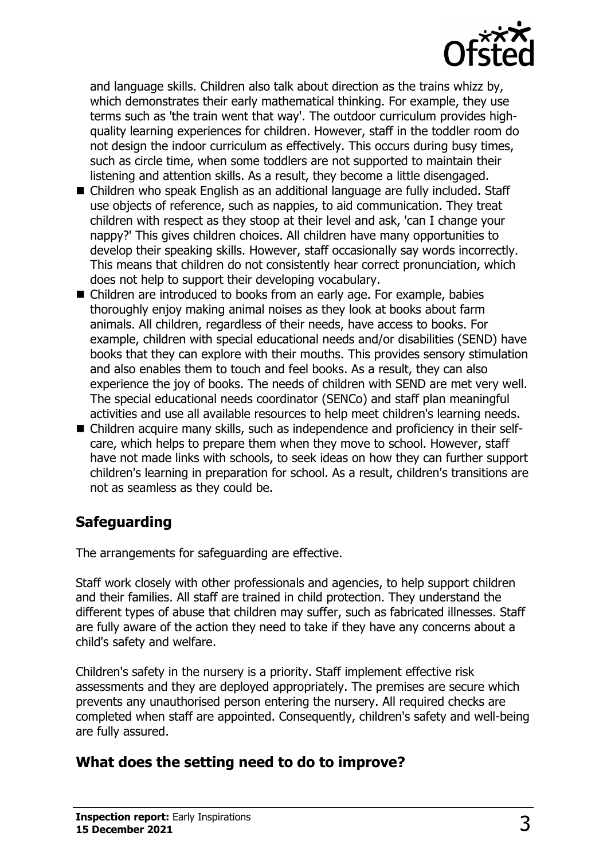

and language skills. Children also talk about direction as the trains whizz by, which demonstrates their early mathematical thinking. For example, they use terms such as 'the train went that way'. The outdoor curriculum provides highquality learning experiences for children. However, staff in the toddler room do not design the indoor curriculum as effectively. This occurs during busy times, such as circle time, when some toddlers are not supported to maintain their listening and attention skills. As a result, they become a little disengaged.

- $\blacksquare$  Children who speak English as an additional language are fully included. Staff use objects of reference, such as nappies, to aid communication. They treat children with respect as they stoop at their level and ask, 'can I change your nappy?' This gives children choices. All children have many opportunities to develop their speaking skills. However, staff occasionally say words incorrectly. This means that children do not consistently hear correct pronunciation, which does not help to support their developing vocabulary.
- Children are introduced to books from an early age. For example, babies thoroughly enjoy making animal noises as they look at books about farm animals. All children, regardless of their needs, have access to books. For example, children with special educational needs and/or disabilities (SEND) have books that they can explore with their mouths. This provides sensory stimulation and also enables them to touch and feel books. As a result, they can also experience the joy of books. The needs of children with SEND are met very well. The special educational needs coordinator (SENCo) and staff plan meaningful activities and use all available resources to help meet children's learning needs.
- Children acquire many skills, such as independence and proficiency in their selfcare, which helps to prepare them when they move to school. However, staff have not made links with schools, to seek ideas on how they can further support children's learning in preparation for school. As a result, children's transitions are not as seamless as they could be.

# **Safeguarding**

The arrangements for safeguarding are effective.

Staff work closely with other professionals and agencies, to help support children and their families. All staff are trained in child protection. They understand the different types of abuse that children may suffer, such as fabricated illnesses. Staff are fully aware of the action they need to take if they have any concerns about a child's safety and welfare.

Children's safety in the nursery is a priority. Staff implement effective risk assessments and they are deployed appropriately. The premises are secure which prevents any unauthorised person entering the nursery. All required checks are completed when staff are appointed. Consequently, children's safety and well-being are fully assured.

# **What does the setting need to do to improve?**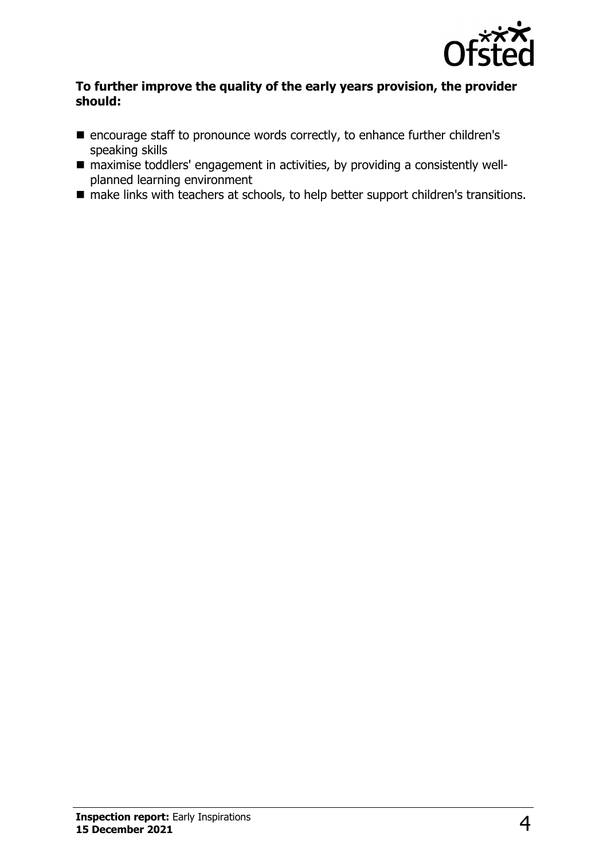

#### **To further improve the quality of the early years provision, the provider should:**

- encourage staff to pronounce words correctly, to enhance further children's speaking skills
- $\blacksquare$  maximise toddlers' engagement in activities, by providing a consistently wellplanned learning environment
- make links with teachers at schools, to help better support children's transitions.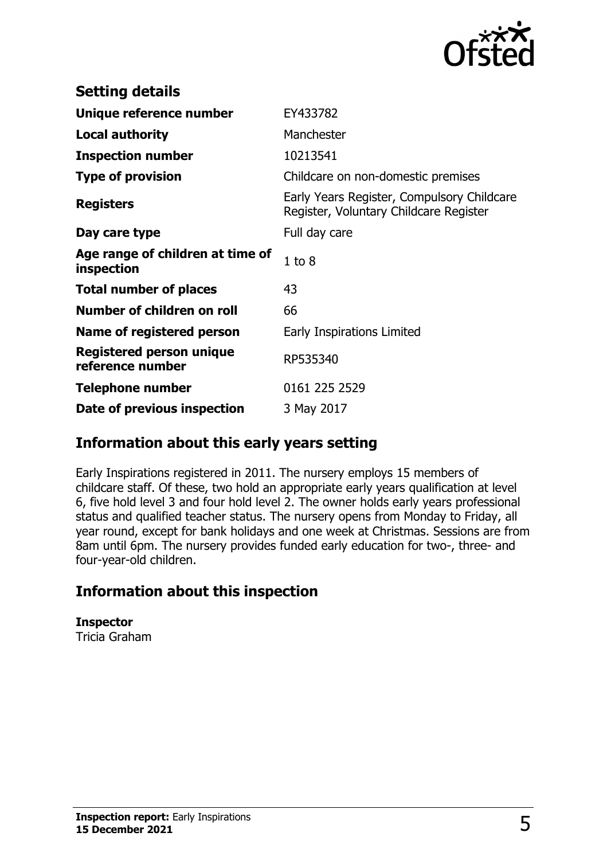

| <b>Setting details</b>                              |                                                                                      |
|-----------------------------------------------------|--------------------------------------------------------------------------------------|
| Unique reference number                             | EY433782                                                                             |
| <b>Local authority</b>                              | Manchester                                                                           |
| <b>Inspection number</b>                            | 10213541                                                                             |
| <b>Type of provision</b>                            | Childcare on non-domestic premises                                                   |
| <b>Registers</b>                                    | Early Years Register, Compulsory Childcare<br>Register, Voluntary Childcare Register |
| Day care type                                       | Full day care                                                                        |
| Age range of children at time of<br>inspection      | $1$ to $8$                                                                           |
| <b>Total number of places</b>                       | 43                                                                                   |
| Number of children on roll                          | 66                                                                                   |
| Name of registered person                           | Early Inspirations Limited                                                           |
| <b>Registered person unique</b><br>reference number | RP535340                                                                             |
| <b>Telephone number</b>                             | 0161 225 2529                                                                        |
| Date of previous inspection                         | 3 May 2017                                                                           |

### **Information about this early years setting**

Early Inspirations registered in 2011. The nursery employs 15 members of childcare staff. Of these, two hold an appropriate early years qualification at level 6, five hold level 3 and four hold level 2. The owner holds early years professional status and qualified teacher status. The nursery opens from Monday to Friday, all year round, except for bank holidays and one week at Christmas. Sessions are from 8am until 6pm. The nursery provides funded early education for two-, three- and four-year-old children.

# **Information about this inspection**

**Inspector** Tricia Graham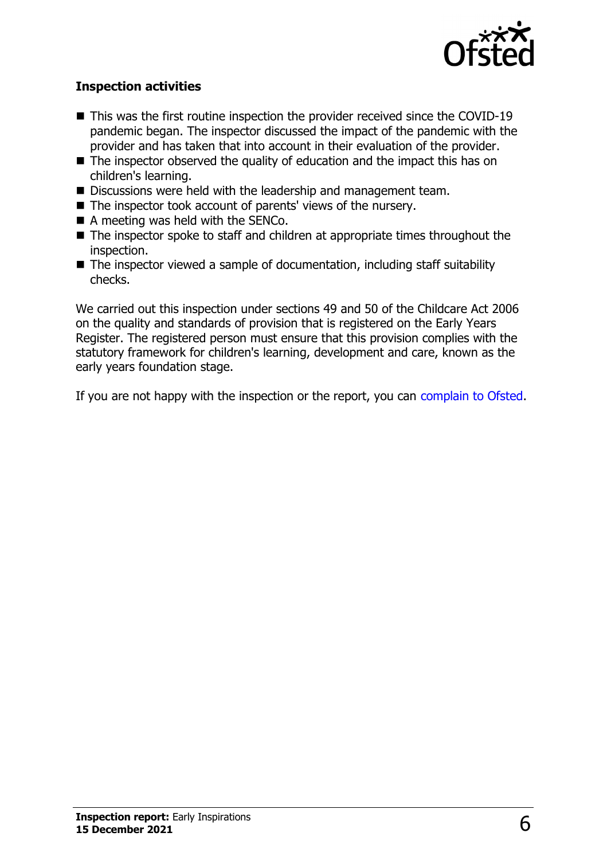

#### **Inspection activities**

- $\blacksquare$  This was the first routine inspection the provider received since the COVID-19 pandemic began. The inspector discussed the impact of the pandemic with the provider and has taken that into account in their evaluation of the provider.
- $\blacksquare$  The inspector observed the quality of education and the impact this has on children's learning.
- Discussions were held with the leadership and management team.
- $\blacksquare$  The inspector took account of parents' views of the nursery.
- $\blacksquare$  A meeting was held with the SENCo.
- $\blacksquare$  The inspector spoke to staff and children at appropriate times throughout the inspection.
- $\blacksquare$  The inspector viewed a sample of documentation, including staff suitability checks.

We carried out this inspection under sections 49 and 50 of the Childcare Act 2006 on the quality and standards of provision that is registered on the Early Years Register. The registered person must ensure that this provision complies with the statutory framework for children's learning, development and care, known as the early years foundation stage.

If you are not happy with the inspection or the report, you can [complain to Ofsted](http://www.gov.uk/complain-ofsted-report).